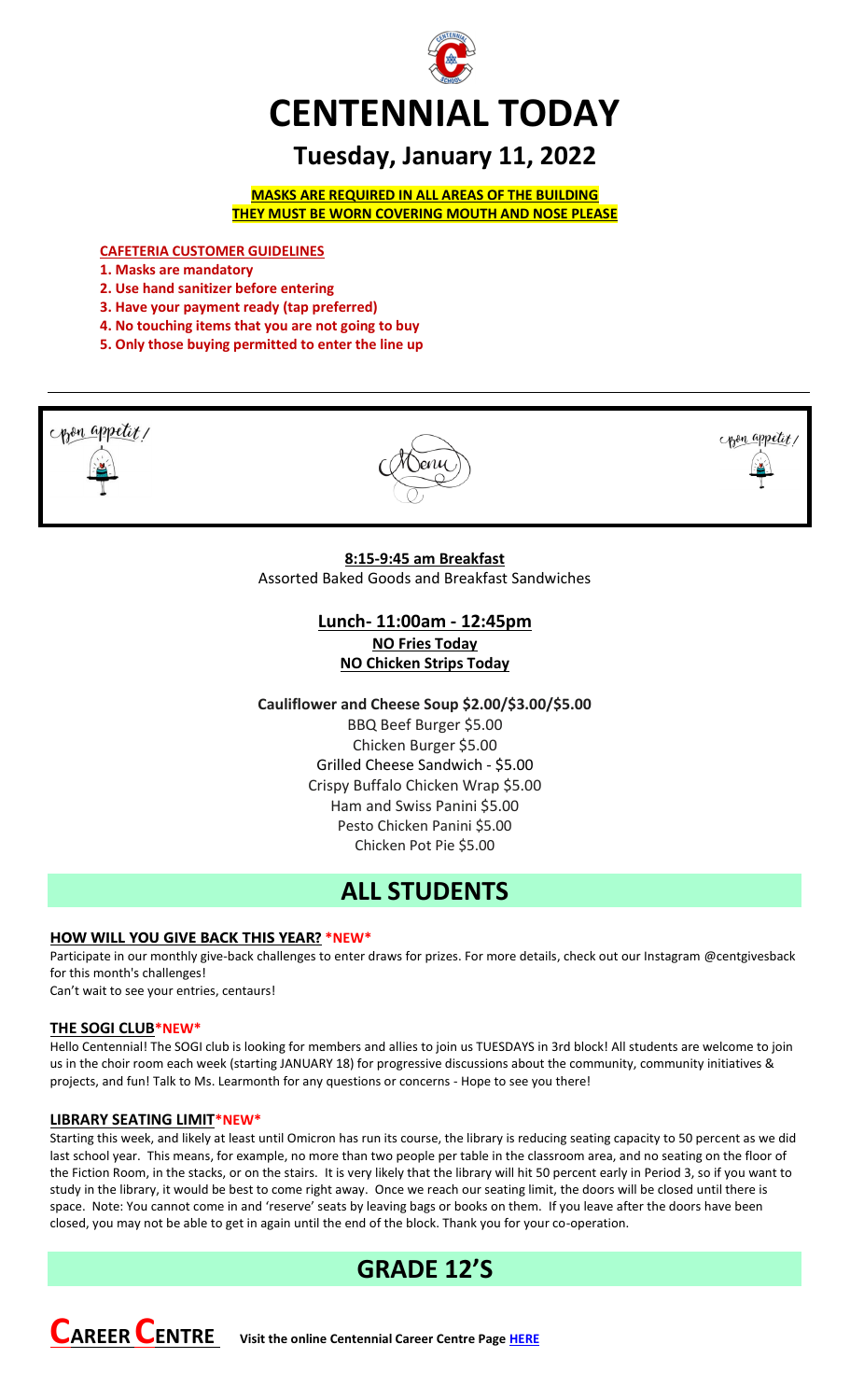

# **Tuesday, January 11, 2022**

**MASKS ARE REQUIRED IN ALL AREAS OF THE BUILDING THEY MUST BE WORN COVERING MOUTH AND NOSE PLEASE**

**CAFETERIA CUSTOMER GUIDELINES**

- **1. Masks are mandatory**
- **2. Use hand sanitizer before entering**
- **3. Have your payment ready (tap preferred)**
- **4. No touching items that you are not going to buy**
- **5. Only those buying permitted to enter the line up**



# **Lunch- 11:00am - 12:45pm NO Fries Today NO Chicken Strips Today**

**Cauliflower and Cheese Soup \$2.00/\$3.00/\$5.00**

BBQ Beef Burger \$5.00 Chicken Burger \$5.00 Grilled Cheese Sandwich - \$5.00 Crispy Buffalo Chicken Wrap \$5.00 Ham and Swiss Panini \$5.00 Pesto Chicken Panini \$5.00 Chicken Pot Pie \$5.00

# **ALL STUDENTS**

## **HOW WILL YOU GIVE BACK THIS YEAR? \*NEW\***

Participate in our monthly give-back challenges to enter draws for prizes. For more details, check out our Instagram @centgivesback for this month's challenges!

Can't wait to see your entries, centaurs!

## **THE SOGI CLUB\*NEW\***

Hello Centennial! The SOGI club is looking for members and allies to join us TUESDAYS in 3rd block! All students are welcome to join us in the choir room each week (starting JANUARY 18) for progressive discussions about the community, community initiatives & projects, and fun! Talk to Ms. Learmonth for any questions or concerns - Hope to see you there!

## **LIBRARY SEATING LIMIT\*NEW\***

Starting this week, and likely at least until Omicron has run its course, the library is reducing seating capacity to 50 percent as we did last school year. This means, for example, no more than two people per table in the classroom area, and no seating on the floor of the Fiction Room, in the stacks, or on the stairs. It is very likely that the library will hit 50 percent early in Period 3, so if you want to study in the library, it would be best to come right away. Once we reach our seating limit, the doors will be closed until there is space. Note: You cannot come in and 'reserve' seats by leaving bags or books on them. If you leave after the doors have been closed, you may not be able to get in again until the end of the block. Thank you for your co-operation.

# **GRADE 12'S**

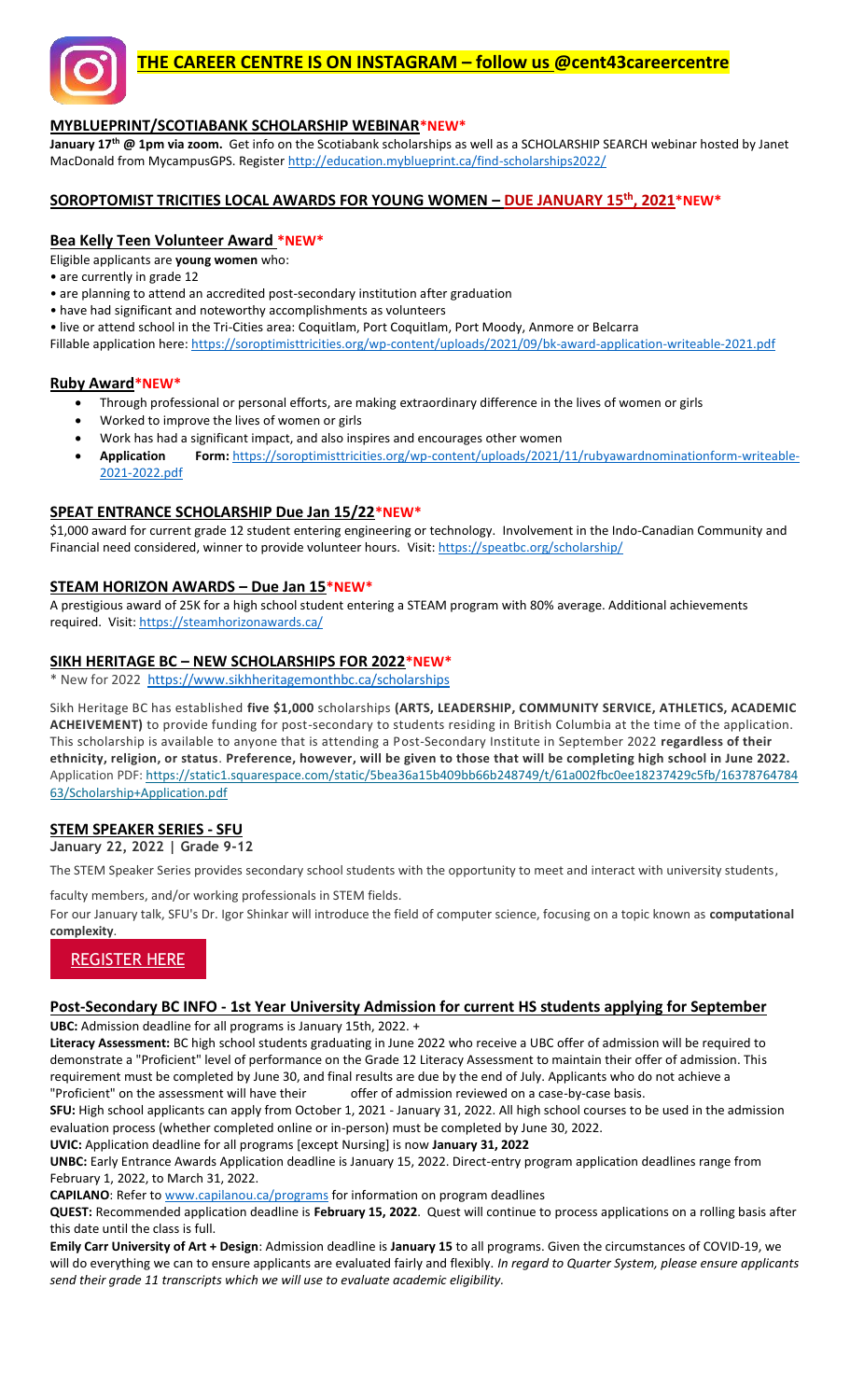

# **THE CAREER CENTRE IS ON INSTAGRAM – follow us @cent43careercentre**

## **MYBLUEPRINT/SCOTIABANK SCHOLARSHIP WEBINAR\*NEW\***

**January 17th @ 1pm via zoom.** Get info on the Scotiabank scholarships as well as a SCHOLARSHIP SEARCH webinar hosted by Janet MacDonald from MycampusGPS. Registe[r http://education.myblueprint.ca/find-scholarships2022/](http://education.myblueprint.ca/find-scholarships2022/)

#### **SOROPTOMIST TRICITIES LOCAL AWARDS FOR YOUNG WOMEN – DUE JANUARY 15th, 2021\*NEW\***

#### **Bea Kelly Teen Volunteer Award \*NEW\***

Eligible applicants are **young women** who:

• are currently in grade 12

- are planning to attend an accredited post-secondary institution after graduation
- have had significant and noteworthy accomplishments as volunteers

• live or attend school in the Tri-Cities area: Coquitlam, Port Coquitlam, Port Moody, Anmore or Belcarra

Fillable application here:<https://soroptimisttricities.org/wp-content/uploads/2021/09/bk-award-application-writeable-2021.pdf>

#### **Ruby Award\*NEW\***

- Through professional or personal efforts, are making extraordinary difference in the lives of women or girls
- Worked to improve the lives of women or girls
- Work has had a significant impact, and also inspires and encourages other women
- **Application Form:** [https://soroptimisttricities.org/wp-content/uploads/2021/11/rubyawardnominationform-writeable-](https://soroptimisttricities.org/wp-content/uploads/2021/11/rubyawardnominationform-writeable-2021-2022.pdf)[2021-2022.pdf](https://soroptimisttricities.org/wp-content/uploads/2021/11/rubyawardnominationform-writeable-2021-2022.pdf)

#### **SPEAT ENTRANCE SCHOLARSHIP Due Jan 15/22\*NEW\***

\$1,000 award for current grade 12 student entering engineering or technology. Involvement in the Indo-Canadian Community and Financial need considered, winner to provide volunteer hours. Visit[: https://speatbc.org/scholarship/](https://speatbc.org/scholarship/)

#### **STEAM HORIZON AWARDS – Due Jan 15\*NEW\***

A prestigious award of 25K for a high school student entering a STEAM program with 80% average. Additional achievements required. Visit[: https://steamhorizonawards.ca/](https://steamhorizonawards.ca/)

#### **SIKH HERITAGE BC – NEW SCHOLARSHIPS FOR 2022\*NEW\***

\* New for 2022 <https://www.sikhheritagemonthbc.ca/scholarships>

Sikh Heritage BC has established **five \$1,000** scholarships **(ARTS, LEADERSHIP, COMMUNITY SERVICE, ATHLETICS, ACADEMIC ACHEIVEMENT)** to provide funding for post-secondary to students residing in British Columbia at the time of the application. This scholarship is available to anyone that is attending a Post-Secondary Institute in September 2022 **regardless of their ethnicity, religion, or status**. **Preference, however, will be given to those that will be completing high school in June 2022.** Application PDF: [https://static1.squarespace.com/static/5bea36a15b409bb66b248749/t/61a002fbc0ee18237429c5fb/16378764784](https://static1.squarespace.com/static/5bea36a15b409bb66b248749/t/61a002fbc0ee18237429c5fb/1637876478463/Scholarship+Application.pdf) [63/Scholarship+Application.pdf](https://static1.squarespace.com/static/5bea36a15b409bb66b248749/t/61a002fbc0ee18237429c5fb/1637876478463/Scholarship+Application.pdf)

## **STEM SPEAKER SERIES - SFU**

**January 22, 2022 | Grade 9-12**

The STEM Speaker Series provides secondary school students with the opportunity to meet and interact with university students,

faculty members, and/or working professionals in STEM fields.

For our January talk, SFU's Dr. Igor Shinkar will introduce the field of computer science, focusing on a topic known as **computational complexity**.

# [REGISTER HERE](https://trk.cp20.com/click/cgl6-2hmnwy-tavp2y-g4wswz82/)

#### **Post-Secondary BC INFO - 1st Year University Admission for current HS students applying for September**

**UBC:** Admission deadline for all programs is January 15th, 2022. +

**Literacy Assessment:** BC high school students graduating in June 2022 who receive a UBC offer of admission will be required to demonstrate a "Proficient" level of performance on the Grade 12 Literacy Assessment to maintain their offer of admission. This requirement must be completed by June 30, and final results are due by the end of July. Applicants who do not achieve a "Proficient" on the assessment will have their offer of admission reviewed on a case-by-case basis.

**SFU:** High school applicants can apply from October 1, 2021 - January 31, 2022. All high school courses to be used in the admission evaluation process (whether completed online or in-person) must be completed by June 30, 2022.

**UVIC:** Application deadline for all programs [except Nursing] is now **January 31, 2022**

**UNBC:** Early Entrance Awards Application deadline is January 15, 2022. Direct-entry program application deadlines range from February 1, 2022, to March 31, 2022.

**CAPILANO**: Refer to [www.capilanou.ca/programs](http://www.capilanou.ca/programs) for information on program deadlines

**QUEST:** Recommended application deadline is **February 15, 2022**. Quest will continue to process applications on a rolling basis after this date until the class is full.

**Emily Carr University of Art + Design**: Admission deadline is **January 15** to all programs. Given the circumstances of COVID-19, we will do everything we can to ensure applicants are evaluated fairly and flexibly. *In regard to Quarter System, please ensure applicants send their grade 11 transcripts which we will use to evaluate academic eligibility.*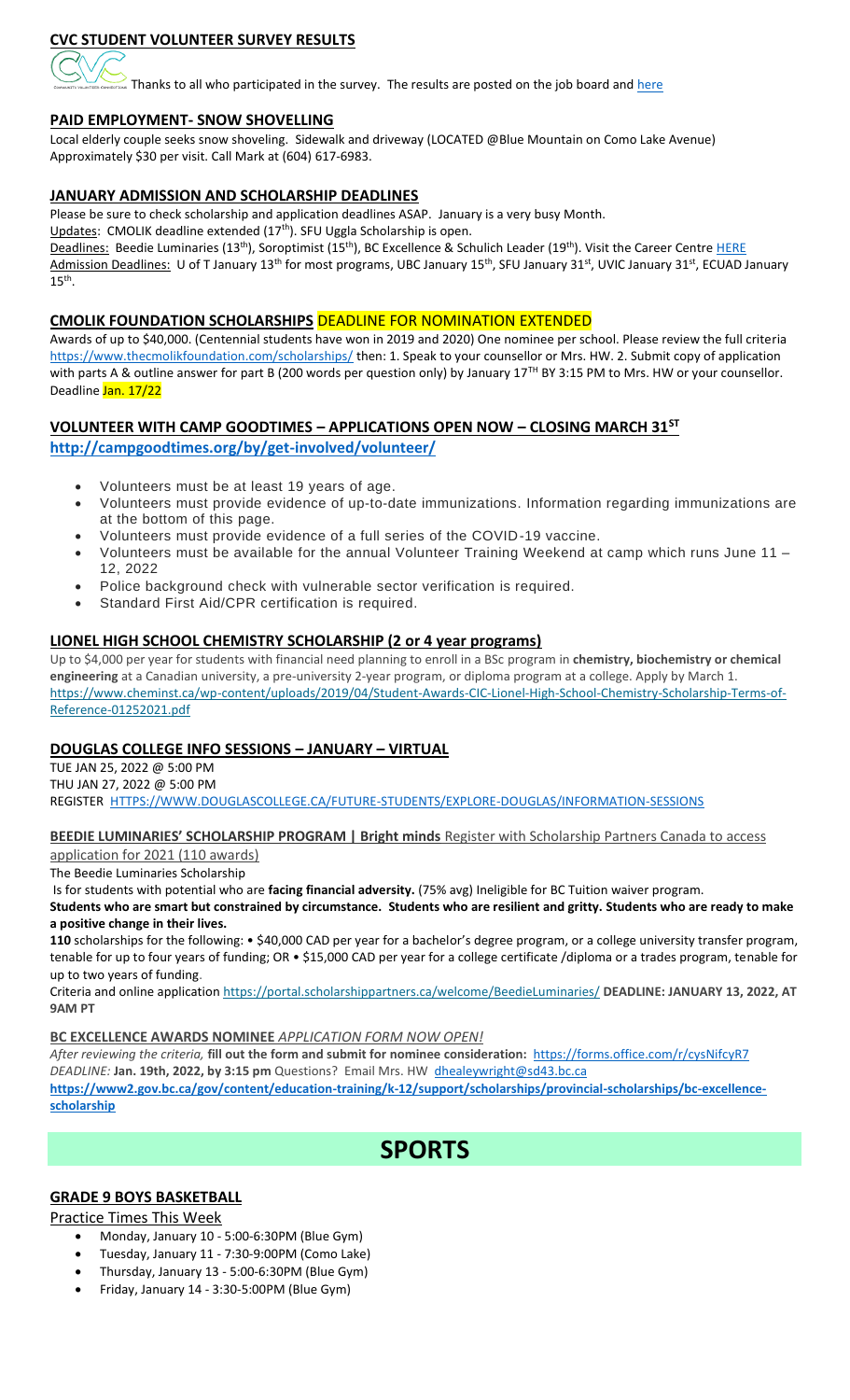# **CVC STUDENT VOLUNTEER SURVEY RESULTS**

 $\frac{1}{2}$  Thanks to all who participated in the survey. The results are posted on the job board and  $\frac{here}{here}$ 

## **PAID EMPLOYMENT- SNOW SHOVELLING**

Local elderly couple seeks snow shoveling. Sidewalk and driveway (LOCATED @Blue Mountain on Como Lake Avenue) Approximately \$30 per visit. Call Mark at (604) 617-6983.

## **JANUARY ADMISSION AND SCHOLARSHIP DEADLINES**

Please be sure to check scholarship and application deadlines ASAP. January is a very busy Month.

Updates: CMOLIK deadline extended (17<sup>th</sup>). SFU Uggla Scholarship is open.

Deadlines: Beedie Luminaries (13<sup>th</sup>), Soroptimist (15<sup>th</sup>), BC Excellence & Schulich Leader (19<sup>th</sup>). Visit the Career Centre [HERE](https://www.sd43.bc.ca/school/centennial/ProgramsServices/CareerCentre/financeawards/Pages/default.aspx#/=) Admission Deadlines: U of T January 13<sup>th</sup> for most programs, UBC January 15<sup>th</sup>, SFU January 31<sup>st</sup>, UVIC January 31<sup>st</sup>, ECUAD January  $15<sup>th</sup>$ .

## **CMOLIK FOUNDATION SCHOLARSHIPS** DEADLINE FOR NOMINATION EXTENDED

Awards of up to \$40,000. (Centennial students have won in 2019 and 2020) One nominee per school. Please review the full criteria <https://www.thecmolikfoundation.com/scholarships/> then: 1. Speak to your counsellor or Mrs. HW. 2. Submit copy of application with parts A & outline answer for part B (200 words per question only) by January 17<sup>TH</sup> BY 3:15 PM to Mrs. HW or your counsellor. Deadline Jan. 17/22

## **VOLUNTEER WITH CAMP GOODTIMES – APPLICATIONS OPEN NOW – CLOSING MARCH 31ST <http://campgoodtimes.org/by/get-involved/volunteer/>**

- Volunteers must be at least 19 years of age.
- Volunteers must provide evidence of up-to-date immunizations. Information regarding immunizations are at the bottom of this page.
- Volunteers must provide evidence of a full series of the COVID-19 vaccine.
- Volunteers must be available for the annual Volunteer Training Weekend at camp which runs June 11 12, 2022
- Police background check with vulnerable sector verification is required.
- Standard First Aid/CPR certification is required.

## **LIONEL HIGH SCHOOL CHEMISTRY SCHOLARSHIP (2 or 4 year programs)**

Up to \$4,000 per year for students with financial need planning to enroll in a BSc program in **chemistry, biochemistry or chemical engineering** at a Canadian university, a pre-university 2-year program, or diploma program at a college. Apply by March 1. [https://www.cheminst.ca/wp-content/uploads/2019/04/Student-Awards-CIC-Lionel-High-School-Chemistry-Scholarship-Terms-of-](https://www.cheminst.ca/wp-content/uploads/2019/04/Student-Awards-CIC-Lionel-High-School-Chemistry-Scholarship-Terms-of-Reference-01252021.pdf#_blank)[Reference-01252021.pdf](https://www.cheminst.ca/wp-content/uploads/2019/04/Student-Awards-CIC-Lionel-High-School-Chemistry-Scholarship-Terms-of-Reference-01252021.pdf#_blank)

## **DOUGLAS COLLEGE INFO SESSIONS – JANUARY – VIRTUAL**

TUE JAN 25, 2022 @ 5:00 PM THU JAN 27, 2022 @ 5:00 PM REGISTER [HTTPS://WWW.DOUGLASCOLLEGE.CA/FUTURE-STUDENTS/EXPLORE-DOUGLAS/INFORMATION-SESSIONS](https://www.douglascollege.ca/future-students/explore-douglas/information-sessions)

## **BEEDIE LUMINARIES' SCHOLARSHIP PROGRAM | Bright minds** [Register with Scholarship Partners Canada to access](https://beedieluminaries.ca/)

[application for 2021 \(110 awards\)](https://beedieluminaries.ca/)

The Beedie Luminaries Scholarship

Is for students with potential who are **facing financial adversity.** (75% avg) Ineligible for BC Tuition waiver program.

#### **Students who are smart but constrained by circumstance. Students who are resilient and gritty. Students who are ready to make a positive change in their lives.**

**110** scholarships for the following: • \$40,000 CAD per year for a bachelor's degree program, or a college university transfer program, tenable for up to four years of funding; OR • \$15,000 CAD per year for a college certificate /diploma or a trades program, tenable for up to two years of funding.

Criteria and online application <https://portal.scholarshippartners.ca/welcome/BeedieLuminaries/> **DEADLINE: JANUARY 13, 2022, AT 9AM PT**

#### **BC EXCELLENCE AWARDS NOMINEE** *APPLICATION FORM NOW OPEN!*

*After reviewing the criteria,* **fill out the form and submit for nominee consideration:** <https://forms.office.com/r/cysNifcyR7> *DEADLINE:* **Jan. 19th, 2022, by 3:15 pm** Questions? Email Mrs. HW [dhealeywright@sd43.bc.ca](mailto:dhealeywright@sd43.bc.ca) **[https://www2.gov.bc.ca/gov/content/education-training/k-12/support/scholarships/provincial-scholarships/bc-excellence](https://www2.gov.bc.ca/gov/content/education-training/k-12/support/scholarships/provincial-scholarships/bc-excellence-schola​rship)[scholarship](https://www2.gov.bc.ca/gov/content/education-training/k-12/support/scholarships/provincial-scholarships/bc-excellence-schola​rship)**

# **SPORTS**

## **GRADE 9 BOYS BASKETBALL**

## Practice Times This Week

- Monday, January 10 5:00-6:30PM (Blue Gym)
- Tuesday, January 11 7:30-9:00PM (Como Lake)
- Thursday, January 13 5:00-6:30PM (Blue Gym)
- Friday, January 14 3:30-5:00PM (Blue Gym)